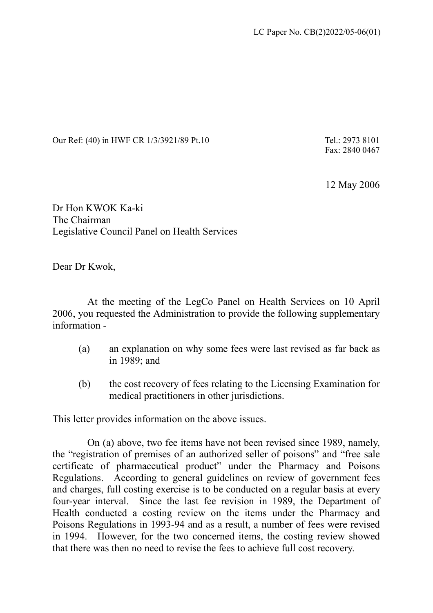Our Ref: (40) in HWF CR 1/3/3921/89 Pt.10 Tel.: 2973 8101

Fax: 2840 0467

12 May 2006

Dr Hon KWOK Ka-ki The Chairman Legislative Council Panel on Health Services

Dear Dr Kwok,

 At the meeting of the LegCo Panel on Health Services on 10 April 2006, you requested the Administration to provide the following supplementary information -

- (a) an explanation on why some fees were last revised as far back as in 1989; and
- (b) the cost recovery of fees relating to the Licensing Examination for medical practitioners in other jurisdictions.

This letter provides information on the above issues.

 On (a) above, two fee items have not been revised since 1989, namely, the "registration of premises of an authorized seller of poisons" and "free sale certificate of pharmaceutical product" under the Pharmacy and Poisons Regulations. According to general guidelines on review of government fees and charges, full costing exercise is to be conducted on a regular basis at every four-year interval. Since the last fee revision in 1989, the Department of Health conducted a costing review on the items under the Pharmacy and Poisons Regulations in 1993-94 and as a result, a number of fees were revised in 1994. However, for the two concerned items, the costing review showed that there was then no need to revise the fees to achieve full cost recovery.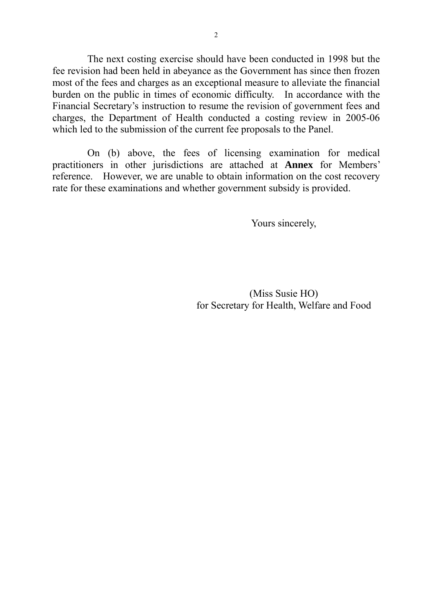The next costing exercise should have been conducted in 1998 but the fee revision had been held in abeyance as the Government has since then frozen most of the fees and charges as an exceptional measure to alleviate the financial burden on the public in times of economic difficulty. In accordance with the Financial Secretary's instruction to resume the revision of government fees and charges, the Department of Health conducted a costing review in 2005-06 which led to the submission of the current fee proposals to the Panel.

 On (b) above, the fees of licensing examination for medical practitioners in other jurisdictions are attached at **Annex** for Members' reference. However, we are unable to obtain information on the cost recovery rate for these examinations and whether government subsidy is provided.

Yours sincerely,

(Miss Susie HO) for Secretary for Health, Welfare and Food